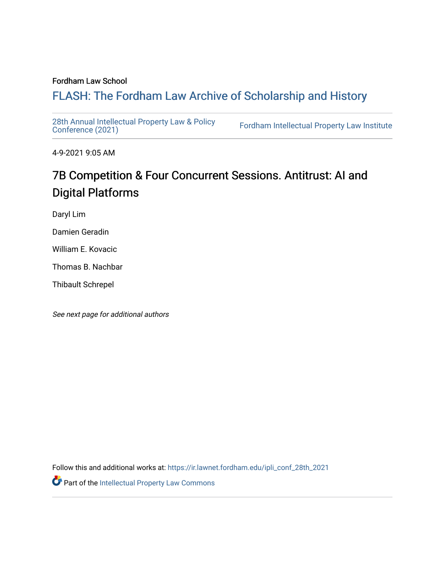#### Fordham Law School

## FLASH: The For[dham Law Archive of Scholarship and Hist](https://ir.lawnet.fordham.edu/)ory

[28th Annual Intellectual Property Law & Policy](https://ir.lawnet.fordham.edu/ipli_conf_28th_2021)<br>Conference (2021)

Fordham Intellectual Property Law Institute

4-9-2021 9:05 AM

# 7B Competition & Four Concurrent Sessions. Antitrust: AI and Digital Platforms

Daryl Lim

Damien Geradin

William E. Kovacic

Thomas B. Nachbar

Thibault Schrepel

See next page for additional authors

Follow this and additional works at: [https://ir.lawnet.fordham.edu/ipli\\_conf\\_28th\\_2021](https://ir.lawnet.fordham.edu/ipli_conf_28th_2021?utm_source=ir.lawnet.fordham.edu%2Fipli_conf_28th_2021%2F22&utm_medium=PDF&utm_campaign=PDFCoverPages) 

Part of the [Intellectual Property Law Commons](http://network.bepress.com/hgg/discipline/896?utm_source=ir.lawnet.fordham.edu%2Fipli_conf_28th_2021%2F22&utm_medium=PDF&utm_campaign=PDFCoverPages)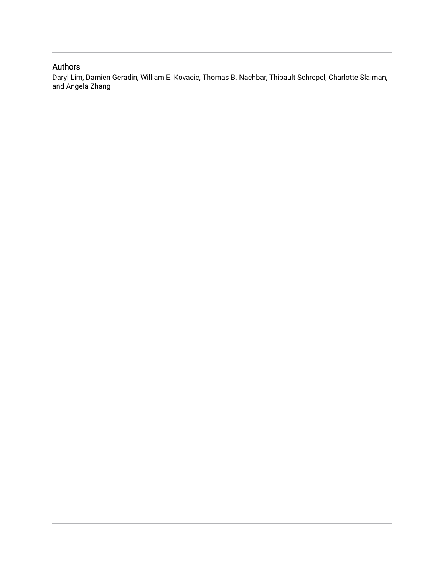#### Authors

Daryl Lim, Damien Geradin, William E. Kovacic, Thomas B. Nachbar, Thibault Schrepel, Charlotte Slaiman, and Angela Zhang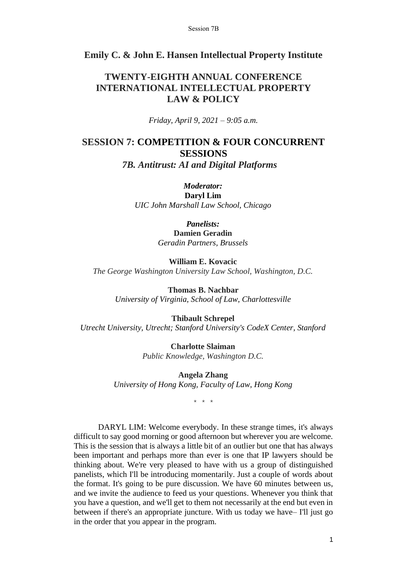#### **Emily C. & John E. Hansen Intellectual Property Institute**

### **TWENTY-EIGHTH ANNUAL CONFERENCE INTERNATIONAL INTELLECTUAL PROPERTY LAW & POLICY**

*Friday, April 9, 2021 – 9:05 a.m.*

## **SESSION 7: COMPETITION & FOUR CONCURRENT SESSIONS**

*7B. Antitrust: AI and Digital Platforms*

*Moderator:* **Daryl Lim** *UIC John Marshall Law School, Chicago*

> *Panelists:* **Damien Geradin** *Geradin Partners, Brussels*

**William E. Kovacic** *The George Washington University Law School, Washington, D.C.*

> **Thomas B. Nachbar** *University of Virginia, School of Law, Charlottesville*

**Thibault Schrepel** *Utrecht University, Utrecht; Stanford University's CodeX Center, Stanford*

> **Charlotte Slaiman** *Public Knowledge, Washington D.C.*

**Angela Zhang** *University of Hong Kong, Faculty of Law, Hong Kong*

\* \* \*

DARYL LIM: Welcome everybody. In these strange times, it's always difficult to say good morning or good afternoon but wherever you are welcome. This is the session that is always a little bit of an outlier but one that has always been important and perhaps more than ever is one that IP lawyers should be thinking about. We're very pleased to have with us a group of distinguished panelists, which I'll be introducing momentarily. Just a couple of words about the format. It's going to be pure discussion. We have 60 minutes between us, and we invite the audience to feed us your questions. Whenever you think that you have a question, and we'll get to them not necessarily at the end but even in between if there's an appropriate juncture. With us today we have– I'll just go in the order that you appear in the program.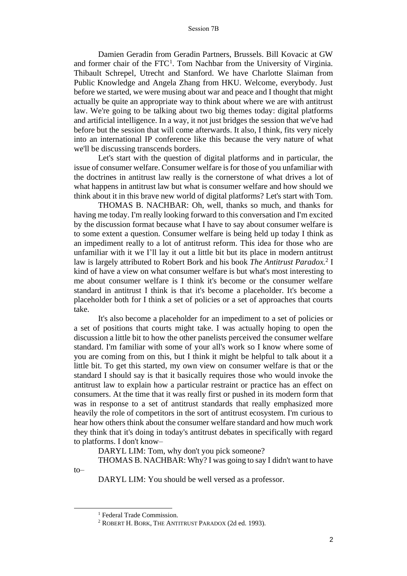Damien Geradin from Geradin Partners, Brussels. Bill Kovacic at GW and former chair of the  $FTC<sup>1</sup>$ . Tom Nachbar from the University of Virginia. Thibault Schrepel, Utrecht and Stanford. We have Charlotte Slaiman from Public Knowledge and Angela Zhang from HKU. Welcome, everybody. Just before we started, we were musing about war and peace and I thought that might actually be quite an appropriate way to think about where we are with antitrust law. We're going to be talking about two big themes today: digital platforms and artificial intelligence. In a way, it not just bridges the session that we've had before but the session that will come afterwards. It also, I think, fits very nicely into an international IP conference like this because the very nature of what we'll be discussing transcends borders.

Let's start with the question of digital platforms and in particular, the issue of consumer welfare. Consumer welfare is for those of you unfamiliar with the doctrines in antitrust law really is the cornerstone of what drives a lot of what happens in antitrust law but what is consumer welfare and how should we think about it in this brave new world of digital platforms? Let's start with Tom.

THOMAS B. NACHBAR: Oh, well, thanks so much, and thanks for having me today. I'm really looking forward to this conversation and I'm excited by the discussion format because what I have to say about consumer welfare is to some extent a question. Consumer welfare is being held up today I think as an impediment really to a lot of antitrust reform. This idea for those who are unfamiliar with it we I'll lay it out a little bit but its place in modern antitrust law is largely attributed to Robert Bork and his book *The Antitrust Paradox.*<sup>2</sup> I kind of have a view on what consumer welfare is but what's most interesting to me about consumer welfare is I think it's become or the consumer welfare standard in antitrust I think is that it's become a placeholder. It's become a placeholder both for I think a set of policies or a set of approaches that courts take.

It's also become a placeholder for an impediment to a set of policies or a set of positions that courts might take. I was actually hoping to open the discussion a little bit to how the other panelists perceived the consumer welfare standard. I'm familiar with some of your all's work so I know where some of you are coming from on this, but I think it might be helpful to talk about it a little bit. To get this started, my own view on consumer welfare is that or the standard I should say is that it basically requires those who would invoke the antitrust law to explain how a particular restraint or practice has an effect on consumers. At the time that it was really first or pushed in its modern form that was in response to a set of antitrust standards that really emphasized more heavily the role of competitors in the sort of antitrust ecosystem. I'm curious to hear how others think about the consumer welfare standard and how much work they think that it's doing in today's antitrust debates in specifically with regard to platforms. I don't know–

DARYL LIM: Tom, why don't you pick someone?

THOMAS B. NACHBAR: Why? I was going to say I didn't want to have

DARYL LIM: You should be well versed as a professor.

to–

<sup>&</sup>lt;sup>1</sup> Federal Trade Commission.

<sup>2</sup> ROBERT H. BORK, THE ANTITRUST PARADOX (2d ed. 1993).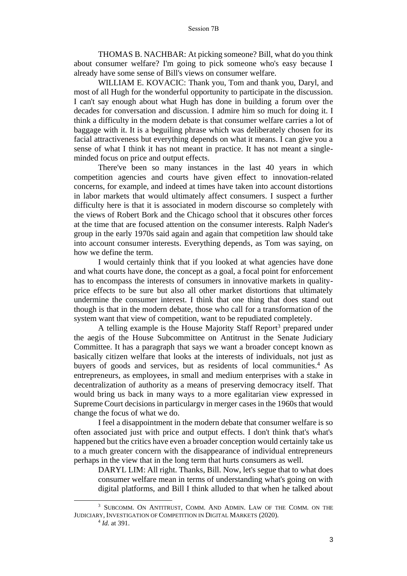THOMAS B. NACHBAR: At picking someone? Bill, what do you think about consumer welfare? I'm going to pick someone who's easy because I already have some sense of Bill's views on consumer welfare.

WILLIAM E. KOVACIC: Thank you, Tom and thank you, Daryl, and most of all Hugh for the wonderful opportunity to participate in the discussion. I can't say enough about what Hugh has done in building a forum over the decades for conversation and discussion. I admire him so much for doing it. I think a difficulty in the modern debate is that consumer welfare carries a lot of baggage with it. It is a beguiling phrase which was deliberately chosen for its facial attractiveness but everything depends on what it means. I can give you a sense of what I think it has not meant in practice. It has not meant a singleminded focus on price and output effects.

There've been so many instances in the last 40 years in which competition agencies and courts have given effect to innovation-related concerns, for example, and indeed at times have taken into account distortions in labor markets that would ultimately affect consumers. I suspect a further difficulty here is that it is associated in modern discourse so completely with the views of Robert Bork and the Chicago school that it obscures other forces at the time that are focused attention on the consumer interests. Ralph Nader's group in the early 1970s said again and again that competition law should take into account consumer interests. Everything depends, as Tom was saying, on how we define the term.

I would certainly think that if you looked at what agencies have done and what courts have done, the concept as a goal, a focal point for enforcement has to encompass the interests of consumers in innovative markets in qualityprice effects to be sure but also all other market distortions that ultimately undermine the consumer interest. I think that one thing that does stand out though is that in the modern debate, those who call for a transformation of the system want that view of competition, want to be repudiated completely.

A telling example is the House Majority Staff Report<sup>3</sup> prepared under the aegis of the House Subcommittee on Antitrust in the Senate Judiciary Committee. It has a paragraph that says we want a broader concept known as basically citizen welfare that looks at the interests of individuals, not just as buyers of goods and services, but as residents of local communities.<sup>4</sup> As entrepreneurs, as employees, in small and medium enterprises with a stake in decentralization of authority as a means of preserving democracy itself. That would bring us back in many ways to a more egalitarian view expressed in Supreme Court decisions in particulargv in merger cases in the 1960s that would change the focus of what we do.

I feel a disappointment in the modern debate that consumer welfare is so often associated just with price and output effects. I don't think that's what's happened but the critics have even a broader conception would certainly take us to a much greater concern with the disappearance of individual entrepreneurs perhaps in the view that in the long term that hurts consumers as well.

DARYL LIM: All right. Thanks, Bill. Now, let's segue that to what does consumer welfare mean in terms of understanding what's going on with digital platforms, and Bill I think alluded to that when he talked about

<sup>3</sup> SUBCOMM. ON ANTITRUST, COMM. AND ADMIN. LAW OF THE COMM. ON THE JUDICIARY, INVESTIGATION OF COMPETITION IN DIGITAL MARKETS (2020).

<sup>4</sup> *Id.* at 391.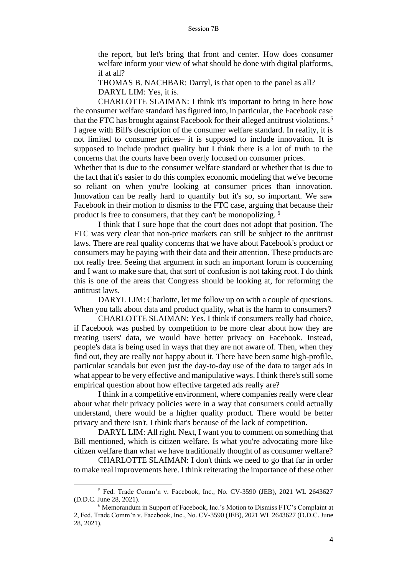the report, but let's bring that front and center. How does consumer welfare inform your view of what should be done with digital platforms, if at all?

THOMAS B. NACHBAR: Darryl, is that open to the panel as all? DARYL LIM: Yes, it is.

CHARLOTTE SLAIMAN: I think it's important to bring in here how the consumer welfare standard has figured into, in particular, the Facebook case that the FTC has brought against Facebook for their alleged antitrust violations.<sup>5</sup> I agree with Bill's description of the consumer welfare standard. In reality, it is not limited to consumer prices– it is supposed to include innovation. It is supposed to include product quality but I think there is a lot of truth to the concerns that the courts have been overly focused on consumer prices.

Whether that is due to the consumer welfare standard or whether that is due to the fact that it's easier to do this complex economic modeling that we've become so reliant on when you're looking at consumer prices than innovation. Innovation can be really hard to quantify but it's so, so important. We saw Facebook in their motion to dismiss to the FTC case, arguing that because their product is free to consumers, that they can't be monopolizing. <sup>6</sup>

I think that I sure hope that the court does not adopt that position. The FTC was very clear that non-price markets can still be subject to the antitrust laws. There are real quality concerns that we have about Facebook's product or consumers may be paying with their data and their attention. These products are not really free. Seeing that argument in such an important forum is concerning and I want to make sure that, that sort of confusion is not taking root. I do think this is one of the areas that Congress should be looking at, for reforming the antitrust laws.

DARYL LIM: Charlotte, let me follow up on with a couple of questions. When you talk about data and product quality, what is the harm to consumers?

CHARLOTTE SLAIMAN: Yes. I think if consumers really had choice, if Facebook was pushed by competition to be more clear about how they are treating users' data, we would have better privacy on Facebook. Instead, people's data is being used in ways that they are not aware of. Then, when they find out, they are really not happy about it. There have been some high-profile, particular scandals but even just the day-to-day use of the data to target ads in what appear to be very effective and manipulative ways. I think there's still some empirical question about how effective targeted ads really are?

I think in a competitive environment, where companies really were clear about what their privacy policies were in a way that consumers could actually understand, there would be a higher quality product. There would be better privacy and there isn't. I think that's because of the lack of competition.

DARYL LIM: All right. Next, I want you to comment on something that Bill mentioned, which is citizen welfare. Is what you're advocating more like citizen welfare than what we have traditionally thought of as consumer welfare?

CHARLOTTE SLAIMAN: I don't think we need to go that far in order to make real improvements here. I think reiterating the importance of these other

<sup>5</sup> Fed. Trade Comm'n v. Facebook, Inc., No. CV-3590 (JEB), 2021 WL 2643627 (D.D.C. June 28, 2021).

<sup>6</sup> Memorandum in Support of Facebook, Inc.'s Motion to Dismiss FTC's Complaint at 2, Fed. Trade Comm'n v. Facebook, Inc., No. CV-3590 (JEB), 2021 WL 2643627 (D.D.C. June 28, 2021).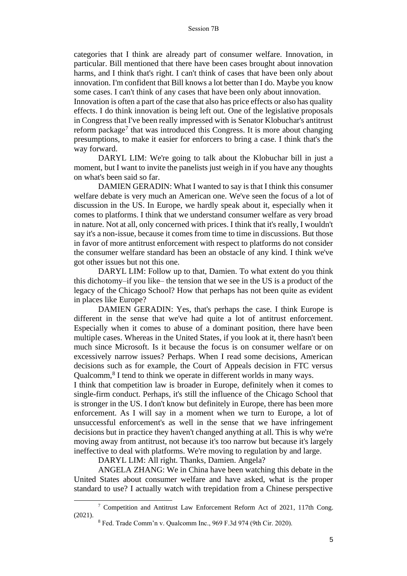categories that I think are already part of consumer welfare. Innovation, in particular. Bill mentioned that there have been cases brought about innovation harms, and I think that's right. I can't think of cases that have been only about innovation. I'm confident that Bill knows a lot better than I do. Maybe you know some cases. I can't think of any cases that have been only about innovation.

Innovation is often a part of the case that also has price effects or also has quality effects. I do think innovation is being left out. One of the legislative proposals in Congress that I've been really impressed with is Senator Klobuchar's antitrust reform package<sup>7</sup> that was introduced this Congress. It is more about changing presumptions, to make it easier for enforcers to bring a case. I think that's the way forward.

DARYL LIM: We're going to talk about the Klobuchar bill in just a moment, but I want to invite the panelists just weigh in if you have any thoughts on what's been said so far.

DAMIEN GERADIN: What I wanted to say is that I think this consumer welfare debate is very much an American one. We've seen the focus of a lot of discussion in the US. In Europe, we hardly speak about it, especially when it comes to platforms. I think that we understand consumer welfare as very broad in nature. Not at all, only concerned with prices. I think that it's really, I wouldn't say it's a non-issue, because it comes from time to time in discussions. But those in favor of more antitrust enforcement with respect to platforms do not consider the consumer welfare standard has been an obstacle of any kind. I think we've got other issues but not this one.

DARYL LIM: Follow up to that, Damien. To what extent do you think this dichotomy–if you like– the tension that we see in the US is a product of the legacy of the Chicago School? How that perhaps has not been quite as evident in places like Europe?

DAMIEN GERADIN: Yes, that's perhaps the case. I think Europe is different in the sense that we've had quite a lot of antitrust enforcement. Especially when it comes to abuse of a dominant position, there have been multiple cases. Whereas in the United States, if you look at it, there hasn't been much since Microsoft. Is it because the focus is on consumer welfare or on excessively narrow issues? Perhaps. When I read some decisions, American decisions such as for example, the Court of Appeals decision in FTC versus Qualcomm,<sup>8</sup> I tend to think we operate in different worlds in many ways.

I think that competition law is broader in Europe, definitely when it comes to single-firm conduct. Perhaps, it's still the influence of the Chicago School that is stronger in the US. I don't know but definitely in Europe, there has been more enforcement. As I will say in a moment when we turn to Europe, a lot of unsuccessful enforcement's as well in the sense that we have infringement decisions but in practice they haven't changed anything at all. This is why we're moving away from antitrust, not because it's too narrow but because it's largely ineffective to deal with platforms. We're moving to regulation by and large.

DARYL LIM: All right. Thanks, Damien. Angela?

ANGELA ZHANG: We in China have been watching this debate in the United States about consumer welfare and have asked, what is the proper standard to use? I actually watch with trepidation from a Chinese perspective

<sup>7</sup> Competition and Antitrust Law Enforcement Reform Act of 2021, 117th Cong. (2021).

<sup>8</sup> Fed. Trade Comm'n v. Qualcomm Inc., 969 F.3d 974 (9th Cir. 2020).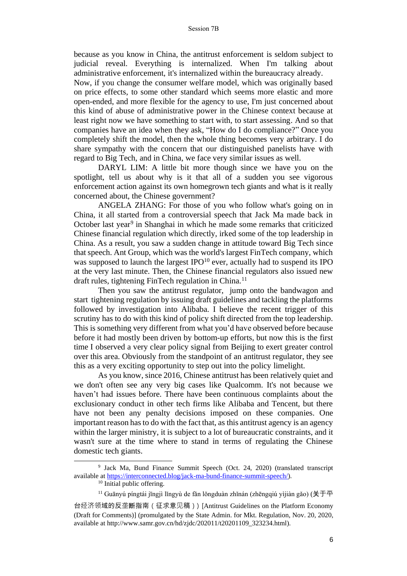because as you know in China, the antitrust enforcement is seldom subject to judicial reveal. Everything is internalized. When I'm talking about administrative enforcement, it's internalized within the bureaucracy already.

Now, if you change the consumer welfare model, which was originally based on price effects, to some other standard which seems more elastic and more open-ended, and more flexible for the agency to use, I'm just concerned about this kind of abuse of administrative power in the Chinese context because at least right now we have something to start with, to start assessing. And so that companies have an idea when they ask, "How do I do compliance?" Once you completely shift the model, then the whole thing becomes very arbitrary. I do share sympathy with the concern that our distinguished panelists have with regard to Big Tech, and in China, we face very similar issues as well.

DARYL LIM: A little bit more though since we have you on the spotlight, tell us about why is it that all of a sudden you see vigorous enforcement action against its own homegrown tech giants and what is it really concerned about, the Chinese government?

ANGELA ZHANG: For those of you who follow what's going on in China, it all started from a controversial speech that Jack Ma made back in October last year<sup>9</sup> in Shanghai in which he made some remarks that criticized Chinese financial regulation which directly, irked some of the top leadership in China. As a result, you saw a sudden change in attitude toward Big Tech since that speech. Ant Group, which was the world's largest FinTech company, which was supposed to launch the largest  $IPO<sup>10</sup>$  ever, actually had to suspend its IPO at the very last minute. Then, the Chinese financial regulators also issued new draft rules, tightening FinTech regulation in China.<sup>11</sup>

Then you saw the antitrust regulator, jump onto the bandwagon and start tightening regulation by issuing draft guidelines and tackling the platforms followed by investigation into Alibaba. I believe the recent trigger of this scrutiny has to do with this kind of policy shift directed from the top leadership. This is something very different from what you'd have observed before because before it had mostly been driven by bottom-up efforts, but now this is the first time I observed a very clear policy signal from Beijing to exert greater control over this area. Obviously from the standpoint of an antitrust regulator, they see this as a very exciting opportunity to step out into the policy limelight.

As you know, since 2016, Chinese antitrust has been relatively quiet and we don't often see any very big cases like Qualcomm. It's not because we haven't had issues before. There have been continuous complaints about the exclusionary conduct in other tech firms like Alibaba and Tencent, but there have not been any penalty decisions imposed on these companies. One important reason has to do with the fact that, as this antitrust agency is an agency within the larger ministry, it is subject to a lot of bureaucratic constraints, and it wasn't sure at the time where to stand in terms of regulating the Chinese domestic tech giants.

<sup>&</sup>lt;sup>9</sup> Jack Ma, Bund Finance Summit Speech (Oct. 24, 2020) (translated transcript available at https://interconnected.blog/jack-ma-bund-finance-summit-speech/).

<sup>&</sup>lt;sup>10</sup> Initial public offering.

<sup>&</sup>lt;sup>11</sup> Guānyú píngtái jīngjì lǐngyù de fǎn lǒngduàn zhǐnán (zhēngqiú yìjiàn gǎo) (关于平

台经济领域的反垄断指南(征求意见稿)) [Antitrust Guidelines on the Platform Economy (Draft for Comments)] (promulgated by the State Admin. for Mkt. Regulation, Nov. 20, 2020, available at http://www.samr.gov.cn/hd/zjdc/202011/t20201109\_323234.html).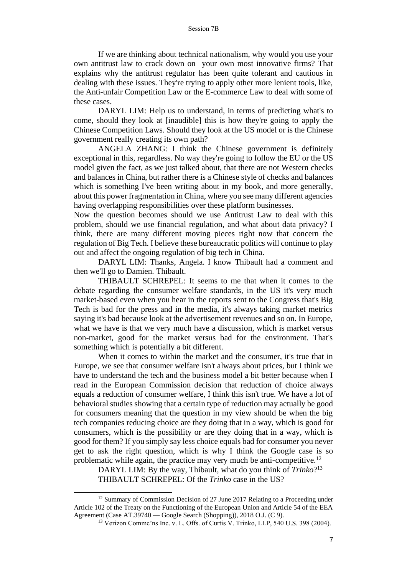If we are thinking about technical nationalism, why would you use your own antitrust law to crack down on your own most innovative firms? That explains why the antitrust regulator has been quite tolerant and cautious in dealing with these issues. They're trying to apply other more lenient tools, like, the Anti-unfair Competition Law or the E-commerce Law to deal with some of these cases.

DARYL LIM: Help us to understand, in terms of predicting what's to come, should they look at [inaudible] this is how they're going to apply the Chinese Competition Laws. Should they look at the US model or is the Chinese government really creating its own path?

ANGELA ZHANG: I think the Chinese government is definitely exceptional in this, regardless. No way they're going to follow the EU or the US model given the fact, as we just talked about, that there are not Western checks and balances in China, but rather there is a Chinese style of checks and balances which is something I've been writing about in my book, and more generally, about this power fragmentation in China, where you see many different agencies having overlapping responsibilities over these platform businesses.

Now the question becomes should we use Antitrust Law to deal with this problem, should we use financial regulation, and what about data privacy? I think, there are many different moving pieces right now that concern the regulation of Big Tech. I believe these bureaucratic politics will continue to play out and affect the ongoing regulation of big tech in China.

DARYL LIM: Thanks, Angela. I know Thibault had a comment and then we'll go to Damien. Thibault.

THIBAULT SCHREPEL: It seems to me that when it comes to the debate regarding the consumer welfare standards, in the US it's very much market-based even when you hear in the reports sent to the Congress that's Big Tech is bad for the press and in the media, it's always taking market metrics saying it's bad because look at the advertisement revenues and so on. In Europe, what we have is that we very much have a discussion, which is market versus non-market, good for the market versus bad for the environment. That's something which is potentially a bit different.

When it comes to within the market and the consumer, it's true that in Europe, we see that consumer welfare isn't always about prices, but I think we have to understand the tech and the business model a bit better because when I read in the European Commission decision that reduction of choice always equals a reduction of consumer welfare, I think this isn't true. We have a lot of behavioral studies showing that a certain type of reduction may actually be good for consumers meaning that the question in my view should be when the big tech companies reducing choice are they doing that in a way, which is good for consumers, which is the possibility or are they doing that in a way, which is good for them? If you simply say less choice equals bad for consumer you never get to ask the right question, which is why I think the Google case is so problematic while again, the practice may very much be anti-competitive.<sup>12</sup>

DARYL LIM: By the way, Thibault, what do you think of *Trinko*? 13 THIBAULT SCHREPEL: Of the *Trinko* case in the US?

<sup>&</sup>lt;sup>12</sup> Summary of Commission Decision of 27 June 2017 Relating to a Proceeding under Article 102 of the Treaty on the Functioning of the European Union and Article 54 of the EEA Agreement (Case AT.39740 — Google Search (Shopping)), 2018 O.J. (C 9).

<sup>&</sup>lt;sup>13</sup> Verizon Commc'ns Inc. v. L. Offs. of Curtis V. Trinko, LLP, 540 U.S. 398 (2004).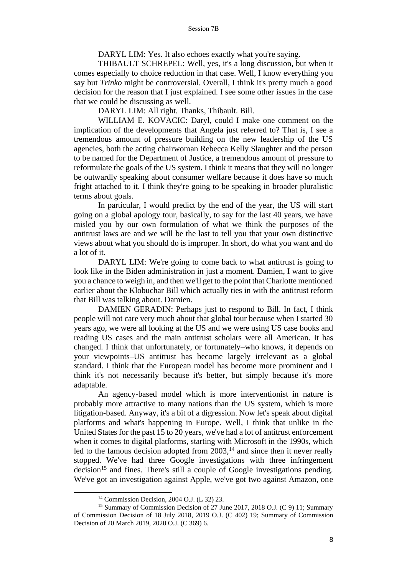DARYL LIM: Yes. It also echoes exactly what you're saying.

THIBAULT SCHREPEL: Well, yes, it's a long discussion, but when it comes especially to choice reduction in that case. Well, I know everything you say but *Trinko* might be controversial. Overall, I think it's pretty much a good decision for the reason that I just explained. I see some other issues in the case that we could be discussing as well.

DARYL LIM: All right. Thanks, Thibault. Bill.

WILLIAM E. KOVACIC: Daryl, could I make one comment on the implication of the developments that Angela just referred to? That is, I see a tremendous amount of pressure building on the new leadership of the US agencies, both the acting chairwoman Rebecca Kelly Slaughter and the person to be named for the Department of Justice, a tremendous amount of pressure to reformulate the goals of the US system. I think it means that they will no longer be outwardly speaking about consumer welfare because it does have so much fright attached to it. I think they're going to be speaking in broader pluralistic terms about goals.

In particular, I would predict by the end of the year, the US will start going on a global apology tour, basically, to say for the last 40 years, we have misled you by our own formulation of what we think the purposes of the antitrust laws are and we will be the last to tell you that your own distinctive views about what you should do is improper. In short, do what you want and do a lot of it.

DARYL LIM: We're going to come back to what antitrust is going to look like in the Biden administration in just a moment. Damien, I want to give you a chance to weigh in, and then we'll get to the point that Charlotte mentioned earlier about the Klobuchar Bill which actually ties in with the antitrust reform that Bill was talking about. Damien.

DAMIEN GERADIN: Perhaps just to respond to Bill. In fact, I think people will not care very much about that global tour because when I started 30 years ago, we were all looking at the US and we were using US case books and reading US cases and the main antitrust scholars were all American. It has changed. I think that unfortunately, or fortunately–who knows, it depends on your viewpoints–US antitrust has become largely irrelevant as a global standard. I think that the European model has become more prominent and I think it's not necessarily because it's better, but simply because it's more adaptable.

An agency-based model which is more interventionist in nature is probably more attractive to many nations than the US system, which is more litigation-based. Anyway, it's a bit of a digression. Now let's speak about digital platforms and what's happening in Europe. Well, I think that unlike in the United States for the past 15 to 20 years, we've had a lot of antitrust enforcement when it comes to digital platforms, starting with Microsoft in the 1990s, which led to the famous decision adopted from  $2003$ ,<sup>14</sup> and since then it never really stopped. We've had three Google investigations with three infringement  $decision<sup>15</sup>$  and fines. There's still a couple of Google investigations pending. We've got an investigation against Apple, we've got two against Amazon, one

<sup>14</sup> Commission Decision, 2004 O.J. (L 32) 23.

<sup>&</sup>lt;sup>15</sup> Summary of Commission Decision of 27 June 2017, 2018 O.J. (C 9) 11; Summary of Commission Decision of 18 July 2018, 2019 O.J. (C 402) 19; Summary of Commission Decision of 20 March 2019, 2020 O.J. (C 369) 6.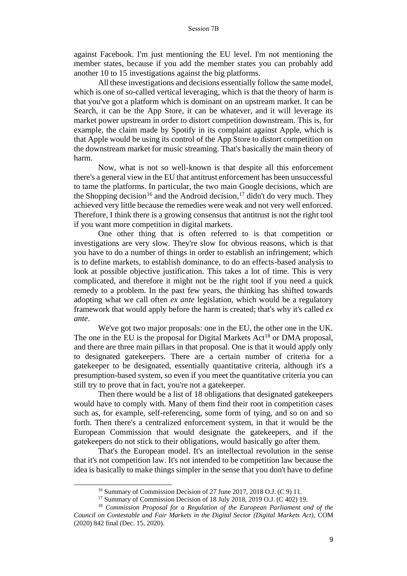against Facebook. I'm just mentioning the EU level. I'm not mentioning the member states, because if you add the member states you can probably add another 10 to 15 investigations against the big platforms.

All these investigations and decisions essentially follow the same model, which is one of so-called vertical leveraging, which is that the theory of harm is that you've got a platform which is dominant on an upstream market. It can be Search, it can be the App Store, it can be whatever, and it will leverage its market power upstream in order to distort competition downstream. This is, for example, the claim made by Spotify in its complaint against Apple, which is that Apple would be using its control of the App Store to distort competition on the downstream market for music streaming. That's basically the main theory of harm.

Now, what is not so well-known is that despite all this enforcement there's a general view in the EU that antitrust enforcement has been unsuccessful to tame the platforms. In particular, the two main Google decisions, which are the Shopping decision<sup>16</sup> and the Android decision,<sup>17</sup> didn't do very much. They achieved very little because the remedies were weak and not very well enforced. Therefore, I think there is a growing consensus that antitrust is not the right tool if you want more competition in digital markets.

One other thing that is often referred to is that competition or investigations are very slow. They're slow for obvious reasons, which is that you have to do a number of things in order to establish an infringement; which is to define markets, to establish dominance, to do an effects-based analysis to look at possible objective justification. This takes a lot of time. This is very complicated, and therefore it might not be the right tool if you need a quick remedy to a problem. In the past few years, the thinking has shifted towards adopting what we call often *ex ante* legislation, which would be a regulatory framework that would apply before the harm is created; that's why it's called *ex ante*.

We've got two major proposals: one in the EU, the other one in the UK. The one in the EU is the proposal for Digital Markets Act<sup>18</sup> or DMA proposal, and there are three main pillars in that proposal. One is that it would apply only to designated gatekeepers. There are a certain number of criteria for a gatekeeper to be designated, essentially quantitative criteria, although it's a presumption-based system, so even if you meet the quantitative criteria you can still try to prove that in fact, you're not a gatekeeper.

Then there would be a list of 18 obligations that designated gatekeepers would have to comply with. Many of them find their root in competition cases such as, for example, self-referencing, some form of tying, and so on and so forth. Then there's a centralized enforcement system, in that it would be the European Commission that would designate the gatekeepers, and if the gatekeepers do not stick to their obligations, would basically go after them.

That's the European model. It's an intellectual revolution in the sense that it's not competition law. It's not intended to be competition law because the idea is basically to make things simpler in the sense that you don't have to define

<sup>16</sup> Summary of Commission Decision of 27 June 2017, 2018 O.J. (C 9) 11.

<sup>&</sup>lt;sup>17</sup> Summary of Commission Decision of 18 July 2018, 2019 O.J. (C 402) 19.

<sup>18</sup> *Commission Proposal for a Regulation of the European Parliament and of the Council on Contestable and Fair Markets in the Digital Sector (Digital Markets Act)*, COM (2020) 842 final (Dec. 15, 2020).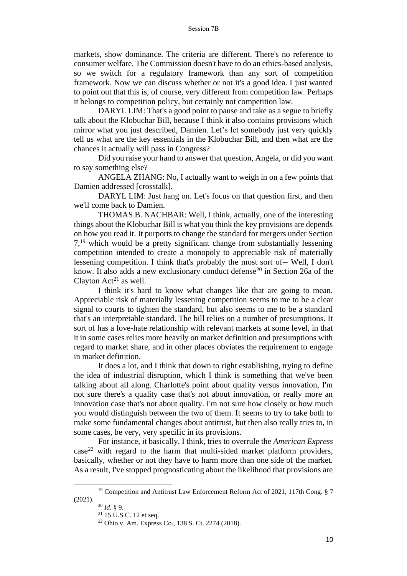markets, show dominance. The criteria are different. There's no reference to consumer welfare. The Commission doesn't have to do an ethics-based analysis, so we switch for a regulatory framework than any sort of competition framework. Now we can discuss whether or not it's a good idea. I just wanted to point out that this is, of course, very different from competition law. Perhaps it belongs to competition policy, but certainly not competition law.

DARYL LIM: That's a good point to pause and take as a segue to briefly talk about the Klobuchar Bill, because I think it also contains provisions which mirror what you just described, Damien. Let's let somebody just very quickly tell us what are the key essentials in the Klobuchar Bill, and then what are the chances it actually will pass in Congress?

Did you raise your hand to answer that question, Angela, or did you want to say something else?

ANGELA ZHANG: No, I actually want to weigh in on a few points that Damien addressed [crosstalk].

DARYL LIM: Just hang on. Let's focus on that question first, and then we'll come back to Damien.

THOMAS B. NACHBAR: Well, I think, actually, one of the interesting things about the Klobuchar Bill is what you think the key provisions are depends on how you read it. It purports to change the standard for mergers under Section 7,<sup>19</sup> which would be a pretty significant change from substantially lessening competition intended to create a monopoly to appreciable risk of materially lessening competition. I think that's probably the most sort of-- Well, I don't know. It also adds a new exclusionary conduct defense<sup>20</sup> in Section 26a of the Clayton  $Act^{21}$  as well.

I think it's hard to know what changes like that are going to mean. Appreciable risk of materially lessening competition seems to me to be a clear signal to courts to tighten the standard, but also seems to me to be a standard that's an interpretable standard. The bill relies on a number of presumptions. It sort of has a love-hate relationship with relevant markets at some level, in that it in some cases relies more heavily on market definition and presumptions with regard to market share, and in other places obviates the requirement to engage in market definition.

It does a lot, and I think that down to right establishing, trying to define the idea of industrial disruption, which I think is something that we've been talking about all along. Charlotte's point about quality versus innovation, I'm not sure there's a quality case that's not about innovation, or really more an innovation case that's not about quality. I'm not sure how closely or how much you would distinguish between the two of them. It seems to try to take both to make some fundamental changes about antitrust, but then also really tries to, in some cases, be very, very specific in its provisions.

For instance, it basically, I think, tries to overrule the *American Express*  $case^{22}$  with regard to the harm that multi-sided market platform providers, basically, whether or not they have to harm more than one side of the market. As a result, I've stopped prognosticating about the likelihood that provisions are

<sup>&</sup>lt;sup>19</sup> Competition and Antitrust Law Enforcement Reform Act of 2021, 117th Cong. § 7 (2021).

<sup>20</sup> *Id.* § 9.

<sup>21</sup> 15 U.S.C. 12 et seq.

<sup>22</sup> Ohio v. Am. Express Co., 138 S. Ct. 2274 (2018).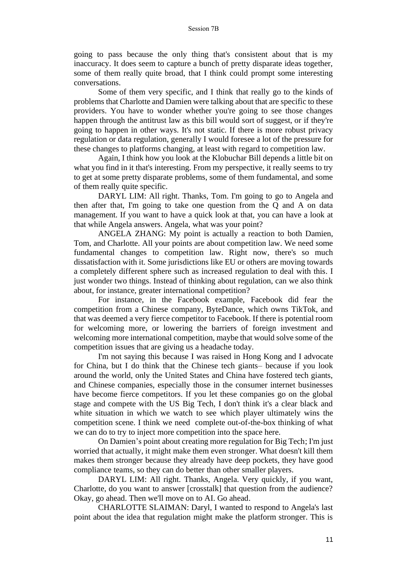going to pass because the only thing that's consistent about that is my inaccuracy. It does seem to capture a bunch of pretty disparate ideas together, some of them really quite broad, that I think could prompt some interesting conversations.

Some of them very specific, and I think that really go to the kinds of problems that Charlotte and Damien were talking about that are specific to these providers. You have to wonder whether you're going to see those changes happen through the antitrust law as this bill would sort of suggest, or if they're going to happen in other ways. It's not static. If there is more robust privacy regulation or data regulation, generally I would foresee a lot of the pressure for these changes to platforms changing, at least with regard to competition law.

Again, I think how you look at the Klobuchar Bill depends a little bit on what you find in it that's interesting. From my perspective, it really seems to try to get at some pretty disparate problems, some of them fundamental, and some of them really quite specific.

DARYL LIM: All right. Thanks, Tom. I'm going to go to Angela and then after that, I'm going to take one question from the Q and A on data management. If you want to have a quick look at that, you can have a look at that while Angela answers. Angela, what was your point?

ANGELA ZHANG: My point is actually a reaction to both Damien, Tom, and Charlotte. All your points are about competition law. We need some fundamental changes to competition law. Right now, there's so much dissatisfaction with it. Some jurisdictions like EU or others are moving towards a completely different sphere such as increased regulation to deal with this. I just wonder two things. Instead of thinking about regulation, can we also think about, for instance, greater international competition?

For instance, in the Facebook example, Facebook did fear the competition from a Chinese company, ByteDance, which owns TikTok, and that was deemed a very fierce competitor to Facebook. If there is potential room for welcoming more, or lowering the barriers of foreign investment and welcoming more international competition, maybe that would solve some of the competition issues that are giving us a headache today.

I'm not saying this because I was raised in Hong Kong and I advocate for China, but I do think that the Chinese tech giants– because if you look around the world, only the United States and China have fostered tech giants, and Chinese companies, especially those in the consumer internet businesses have become fierce competitors. If you let these companies go on the global stage and compete with the US Big Tech, I don't think it's a clear black and white situation in which we watch to see which player ultimately wins the competition scene. I think we need complete out-of-the-box thinking of what we can do to try to inject more competition into the space here.

On Damien's point about creating more regulation for Big Tech; I'm just worried that actually, it might make them even stronger. What doesn't kill them makes them stronger because they already have deep pockets, they have good compliance teams, so they can do better than other smaller players.

DARYL LIM: All right. Thanks, Angela. Very quickly, if you want, Charlotte, do you want to answer [crosstalk] that question from the audience? Okay, go ahead. Then we'll move on to AI. Go ahead.

CHARLOTTE SLAIMAN: Daryl, I wanted to respond to Angela's last point about the idea that regulation might make the platform stronger. This is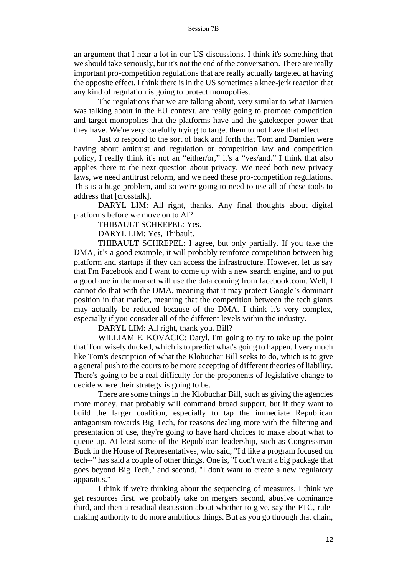an argument that I hear a lot in our US discussions. I think it's something that we should take seriously, but it's not the end of the conversation. There are really important pro-competition regulations that are really actually targeted at having the opposite effect. I think there is in the US sometimes a knee-jerk reaction that any kind of regulation is going to protect monopolies.

The regulations that we are talking about, very similar to what Damien was talking about in the EU context, are really going to promote competition and target monopolies that the platforms have and the gatekeeper power that they have. We're very carefully trying to target them to not have that effect.

Just to respond to the sort of back and forth that Tom and Damien were having about antitrust and regulation or competition law and competition policy, I really think it's not an "either/or," it's a "yes/and." I think that also applies there to the next question about privacy. We need both new privacy laws, we need antitrust reform, and we need these pro-competition regulations. This is a huge problem, and so we're going to need to use all of these tools to address that [crosstalk].

DARYL LIM: All right, thanks. Any final thoughts about digital platforms before we move on to AI?

THIBAULT SCHREPEL: Yes.

DARYL LIM: Yes, Thibault.

THIBAULT SCHREPEL: I agree, but only partially. If you take the DMA, it's a good example, it will probably reinforce competition between big platform and startups if they can access the infrastructure. However, let us say that I'm Facebook and I want to come up with a new search engine, and to put a good one in the market will use the data coming from facebook.com. Well, I cannot do that with the DMA, meaning that it may protect Google's dominant position in that market, meaning that the competition between the tech giants may actually be reduced because of the DMA. I think it's very complex, especially if you consider all of the different levels within the industry.

DARYL LIM: All right, thank you. Bill?

WILLIAM E. KOVACIC: Daryl, I'm going to try to take up the point that Tom wisely ducked, which is to predict what's going to happen. I very much like Tom's description of what the Klobuchar Bill seeks to do, which is to give a general push to the courts to be more accepting of different theories of liability. There's going to be a real difficulty for the proponents of legislative change to decide where their strategy is going to be.

There are some things in the Klobuchar Bill, such as giving the agencies more money, that probably will command broad support, but if they want to build the larger coalition, especially to tap the immediate Republican antagonism towards Big Tech, for reasons dealing more with the filtering and presentation of use, they're going to have hard choices to make about what to queue up. At least some of the Republican leadership, such as Congressman Buck in the House of Representatives, who said, "I'd like a program focused on tech--" has said a couple of other things. One is, "I don't want a big package that goes beyond Big Tech," and second, "I don't want to create a new regulatory apparatus."

I think if we're thinking about the sequencing of measures, I think we get resources first, we probably take on mergers second, abusive dominance third, and then a residual discussion about whether to give, say the FTC, rulemaking authority to do more ambitious things. But as you go through that chain,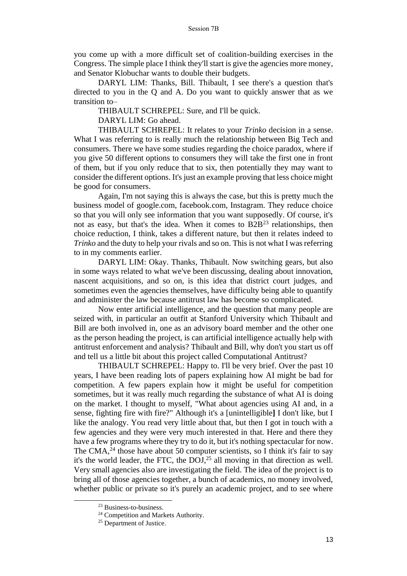you come up with a more difficult set of coalition-building exercises in the Congress. The simple place I think they'll start is give the agencies more money, and Senator Klobuchar wants to double their budgets.

DARYL LIM: Thanks, Bill. Thibault, I see there's a question that's directed to you in the Q and A. Do you want to quickly answer that as we transition to–

THIBAULT SCHREPEL: Sure, and I'll be quick.

DARYL LIM: Go ahead.

THIBAULT SCHREPEL: It relates to your *Trinko* decision in a sense. What I was referring to is really much the relationship between Big Tech and consumers. There we have some studies regarding the choice paradox, where if you give 50 different options to consumers they will take the first one in front of them, but if you only reduce that to six, then potentially they may want to consider the different options. It's just an example proving that less choice might be good for consumers.

Again, I'm not saying this is always the case, but this is pretty much the business model of google.com, facebook.com, Instagram. They reduce choice so that you will only see information that you want supposedly. Of course, it's not as easy, but that's the idea. When it comes to  $B2B<sup>23</sup>$  relationships, then choice reduction, I think, takes a different nature, but then it relates indeed to *Trinko* and the duty to help your rivals and so on. This is not what I was referring to in my comments earlier.

DARYL LIM: Okay. Thanks, Thibault. Now switching gears, but also in some ways related to what we've been discussing, dealing about innovation, nascent acquisitions, and so on, is this idea that district court judges, and sometimes even the agencies themselves, have difficulty being able to quantify and administer the law because antitrust law has become so complicated.

Now enter artificial intelligence, and the question that many people are seized with, in particular an outfit at Stanford University which Thibault and Bill are both involved in, one as an advisory board member and the other one as the person heading the project, is can artificial intelligence actually help with antitrust enforcement and analysis? Thibault and Bill, why don't you start us off and tell us a little bit about this project called Computational Antitrust?

THIBAULT SCHREPEL: Happy to. I'll be very brief. Over the past 10 years, I have been reading lots of papers explaining how AI might be bad for competition. A few papers explain how it might be useful for competition sometimes, but it was really much regarding the substance of what AI is doing on the market. I thought to myself, "What about agencies using AI and, in a sense, fighting fire with fire?" Although it's a [unintelligible**]** I don't like, but I like the analogy. You read very little about that, but then I got in touch with a few agencies and they were very much interested in that. Here and there they have a few programs where they try to do it, but it's nothing spectacular for now. The CMA, $^{24}$  those have about 50 computer scientists, so I think it's fair to say it's the world leader, the FTC, the  $DOJ<sub>1</sub><sup>25</sup>$  all moving in that direction as well. Very small agencies also are investigating the field. The idea of the project is to bring all of those agencies together, a bunch of academics, no money involved, whether public or private so it's purely an academic project, and to see where

<sup>&</sup>lt;sup>23</sup> Business-to-business.

<sup>&</sup>lt;sup>24</sup> Competition and Markets Authority.

<sup>&</sup>lt;sup>25</sup> Department of Justice.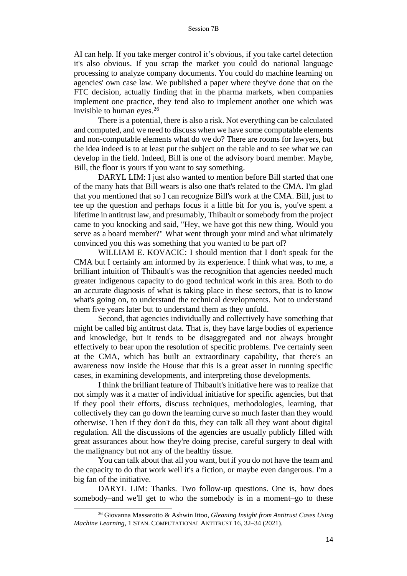AI can help. If you take merger control it's obvious, if you take cartel detection it's also obvious. If you scrap the market you could do national language processing to analyze company documents. You could do machine learning on agencies' own case law. We published a paper where they've done that on the FTC decision, actually finding that in the pharma markets, when companies implement one practice, they tend also to implement another one which was invisible to human eyes.<sup>26</sup>

There is a potential, there is also a risk. Not everything can be calculated and computed, and we need to discuss when we have some computable elements and non-computable elements what do we do? There are rooms for lawyers, but the idea indeed is to at least put the subject on the table and to see what we can develop in the field. Indeed, Bill is one of the advisory board member. Maybe, Bill, the floor is yours if you want to say something.

DARYL LIM: I just also wanted to mention before Bill started that one of the many hats that Bill wears is also one that's related to the CMA. I'm glad that you mentioned that so I can recognize Bill's work at the CMA. Bill, just to tee up the question and perhaps focus it a little bit for you is, you've spent a lifetime in antitrust law, and presumably, Thibault or somebody from the project came to you knocking and said, "Hey, we have got this new thing. Would you serve as a board member?" What went through your mind and what ultimately convinced you this was something that you wanted to be part of?

WILLIAM E. KOVACIC: I should mention that I don't speak for the CMA but I certainly am informed by its experience. I think what was, to me, a brilliant intuition of Thibault's was the recognition that agencies needed much greater indigenous capacity to do good technical work in this area. Both to do an accurate diagnosis of what is taking place in these sectors, that is to know what's going on, to understand the technical developments. Not to understand them five years later but to understand them as they unfold.

Second, that agencies individually and collectively have something that might be called big antitrust data. That is, they have large bodies of experience and knowledge, but it tends to be disaggregated and not always brought effectively to bear upon the resolution of specific problems. I've certainly seen at the CMA, which has built an extraordinary capability, that there's an awareness now inside the House that this is a great asset in running specific cases, in examining developments, and interpreting those developments.

I think the brilliant feature of Thibault's initiative here was to realize that not simply was it a matter of individual initiative for specific agencies, but that if they pool their efforts, discuss techniques, methodologies, learning, that collectively they can go down the learning curve so much faster than they would otherwise. Then if they don't do this, they can talk all they want about digital regulation. All the discussions of the agencies are usually publicly filled with great assurances about how they're doing precise, careful surgery to deal with the malignancy but not any of the healthy tissue.

You can talk about that all you want, but if you do not have the team and the capacity to do that work well it's a fiction, or maybe even dangerous. I'm a big fan of the initiative.

DARYL LIM: Thanks. Two follow-up questions. One is, how does somebody–and we'll get to who the somebody is in a moment–go to these

<sup>26</sup> Giovanna Massarotto & Ashwin Ittoo, *Gleaning Insight from Antitrust Cases Using Machine Learning*, 1 STAN. COMPUTATIONAL ANTITRUST 16, 32–34 (2021).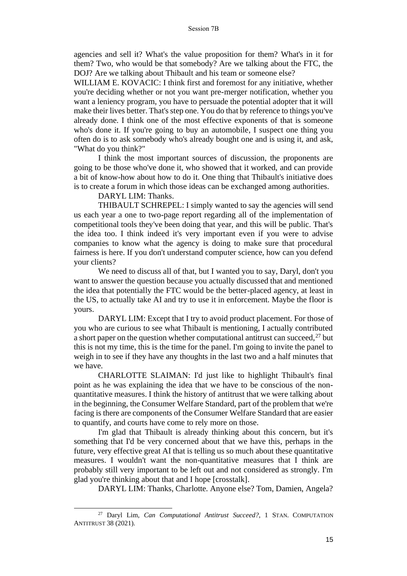agencies and sell it? What's the value proposition for them? What's in it for them? Two, who would be that somebody? Are we talking about the FTC, the DOJ? Are we talking about Thibault and his team or someone else?

WILLIAM E. KOVACIC: I think first and foremost for any initiative, whether you're deciding whether or not you want pre-merger notification, whether you want a leniency program, you have to persuade the potential adopter that it will make their lives better. That's step one. You do that by reference to things you've already done. I think one of the most effective exponents of that is someone who's done it. If you're going to buy an automobile, I suspect one thing you often do is to ask somebody who's already bought one and is using it, and ask, "What do you think?"

I think the most important sources of discussion, the proponents are going to be those who've done it, who showed that it worked, and can provide a bit of know-how about how to do it. One thing that Thibault's initiative does is to create a forum in which those ideas can be exchanged among authorities.

DARYL LIM: Thanks.

THIBAULT SCHREPEL: I simply wanted to say the agencies will send us each year a one to two-page report regarding all of the implementation of competitional tools they've been doing that year, and this will be public. That's the idea too. I think indeed it's very important even if you were to advise companies to know what the agency is doing to make sure that procedural fairness is here. If you don't understand computer science, how can you defend your clients?

We need to discuss all of that, but I wanted you to say, Daryl, don't you want to answer the question because you actually discussed that and mentioned the idea that potentially the FTC would be the better-placed agency, at least in the US, to actually take AI and try to use it in enforcement. Maybe the floor is yours.

DARYL LIM: Except that I try to avoid product placement. For those of you who are curious to see what Thibault is mentioning, I actually contributed a short paper on the question whether computational antitrust can succeed,  $27$  but this is not my time, this is the time for the panel. I'm going to invite the panel to weigh in to see if they have any thoughts in the last two and a half minutes that we have.

CHARLOTTE SLAIMAN: I'd just like to highlight Thibault's final point as he was explaining the idea that we have to be conscious of the nonquantitative measures. I think the history of antitrust that we were talking about in the beginning, the Consumer Welfare Standard, part of the problem that we're facing is there are components of the Consumer Welfare Standard that are easier to quantify, and courts have come to rely more on those.

I'm glad that Thibault is already thinking about this concern, but it's something that I'd be very concerned about that we have this, perhaps in the future, very effective great AI that is telling us so much about these quantitative measures. I wouldn't want the non-quantitative measures that I think are probably still very important to be left out and not considered as strongly. I'm glad you're thinking about that and I hope [crosstalk].

DARYL LIM: Thanks, Charlotte. Anyone else? Tom, Damien, Angela?

<sup>27</sup> Daryl Lim, *Can Computational Antitrust Succeed?*, 1 STAN. COMPUTATION ANTITRUST 38 (2021).